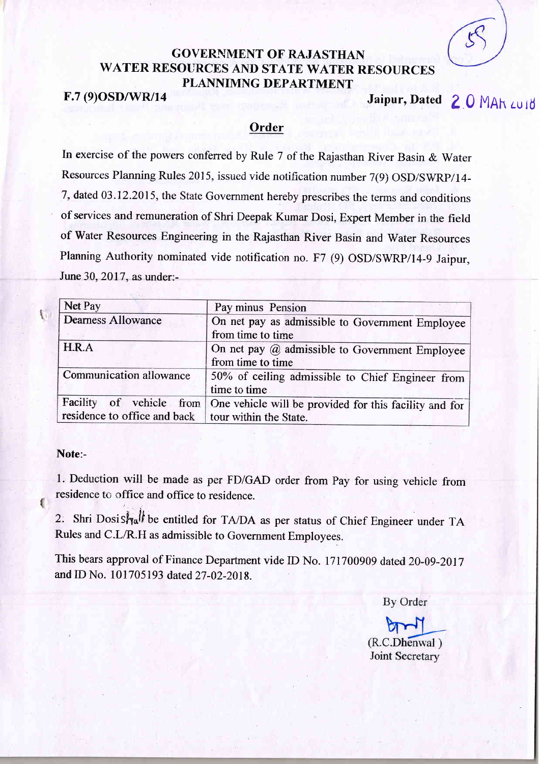# GOVERNMENT OF RAJASTHAN WATER RESOURCES AND STATE WATER RESOURCES PLANNIMNG DEPARTMENT

F.7 (9) OSD/WR/14 Jaipur, Dated 2 0 MAR LUID

## **Order**

In exercise of the powers conferred by Rule 7 of the Rajasthan River Basin & Water Resources Planning Rules 2015, issued vide notification number 7(9) OSD/SWRP/14- 7, dated 03.12.2015, the State Government hereby prescribes the terms and conditions of services and remuneration of Shri Deepak Kumar Dosi, Expert Member in the field of Water Resources Engineering in the Rajasthan River Basin and Water Resources Planning Authority nominated vide notification no. F7 (9) OSD/SWRP/14-9 Jaipur, June 30, 2017, as under:-

| Net Pay                                               | Pay minus Pension                                                               |
|-------------------------------------------------------|---------------------------------------------------------------------------------|
| <b>Dearness Allowance</b>                             | On net pay as admissible to Government Employee<br>from time to time            |
| H.R.A                                                 | On net pay $(a)$ admissible to Government Employee<br>from time to time         |
| Communication allowance                               | 50% of ceiling admissible to Chief Engineer from<br>time to time                |
| residence to office and back   tour within the State. | Facility of vehicle from One vehicle will be provided for this facility and for |

### Note:-

1

{

1. Deduction will be made as per FD/GAD order from Pay for using vehicle from residence to office and office to residence.

2. Shri Dosis $\frac{1}{2}$  be entitled for TA/DA as per status of Chief Engineer under TA Rules and C.L/R.H as admissible to Government Employees.

This bears approval of Finance Department vide ID No. 171700909 dated 20-09-2017 and ID No. 101705193 dated 27-02-2018.

**By Order** 

bor (R.C.Dhenwal) Joint Secretary